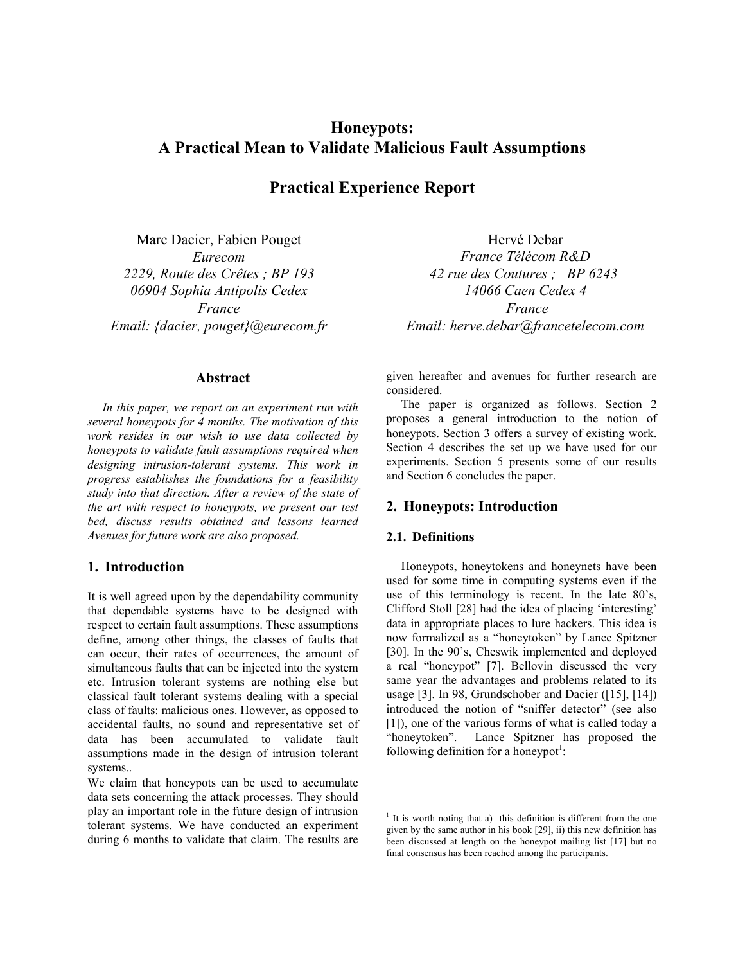# **Honeypots: A Practical Mean to Validate Malicious Fault Assumptions**

## **Practical Experience Report**

Marc Dacier, Fabien Pouget *Eurecom 2229, Route des Crêtes ; BP 193 06904 Sophia Antipolis Cedex France Email: {dacier, pouget}@eurecom.fr* 

### **Abstract**

*In this paper, we report on an experiment run with several honeypots for 4 months. The motivation of this work resides in our wish to use data collected by honeypots to validate fault assumptions required when designing intrusion-tolerant systems. This work in progress establishes the foundations for a feasibility study into that direction. After a review of the state of the art with respect to honeypots, we present our test bed, discuss results obtained and lessons learned Avenues for future work are also proposed.* 

## **1. Introduction**

It is well agreed upon by the dependability community that dependable systems have to be designed with respect to certain fault assumptions. These assumptions define, among other things, the classes of faults that can occur, their rates of occurrences, the amount of simultaneous faults that can be injected into the system etc. Intrusion tolerant systems are nothing else but classical fault tolerant systems dealing with a special class of faults: malicious ones. However, as opposed to accidental faults, no sound and representative set of data has been accumulated to validate fault assumptions made in the design of intrusion tolerant systems..

We claim that honeypots can be used to accumulate data sets concerning the attack processes. They should play an important role in the future design of intrusion tolerant systems. We have conducted an experiment during 6 months to validate that claim. The results are

Hervé Debar *France Télécom R&D 42 rue des Coutures ; BP 6243 14066 Caen Cedex 4 France Email: herve.debar@francetelecom.com* 

given hereafter and avenues for further research are considered.

The paper is organized as follows. Section 2 proposes a general introduction to the notion of honeypots. Section 3 offers a survey of existing work. Section 4 describes the set up we have used for our experiments. Section 5 presents some of our results and Section 6 concludes the paper.

### **2. Honeypots: Introduction**

#### **2.1. Definitions**

-

Honeypots, honeytokens and honeynets have been used for some time in computing systems even if the use of this terminology is recent. In the late 80's, Clifford Stoll [\[28\]](#page-5-0) had the idea of placing 'interesting' data in appropriate places to lure hackers. This idea is now formalized as a "honeytoken" by Lance Spitzner  [\[30\].](#page-5-1) In the 90's, Cheswik implemented and deployed a real "honeypot" [\[7\].](#page-4-0) Bellovin discussed the very same year the advantages and problems related to its usage  $[3]$ . In 98, Grundschober and Dacier  $([15], [14])$  $([15], [14])$ introduced the notion of "sniffer detector" (see also  [\[1\]\)](#page-4-2), one of the various forms of what is called today a "honeytoken". Lance Spitzner has proposed the following definition for a honeypot<sup>1</sup>:

<span id="page-0-0"></span><sup>&</sup>lt;sup>1</sup> It is worth noting that a) this definition is different from the one given by the same author in his book [29], ii) this new definition has been discussed at length on the honeypot mailing list [17] but no final consensus has been reached among the participants.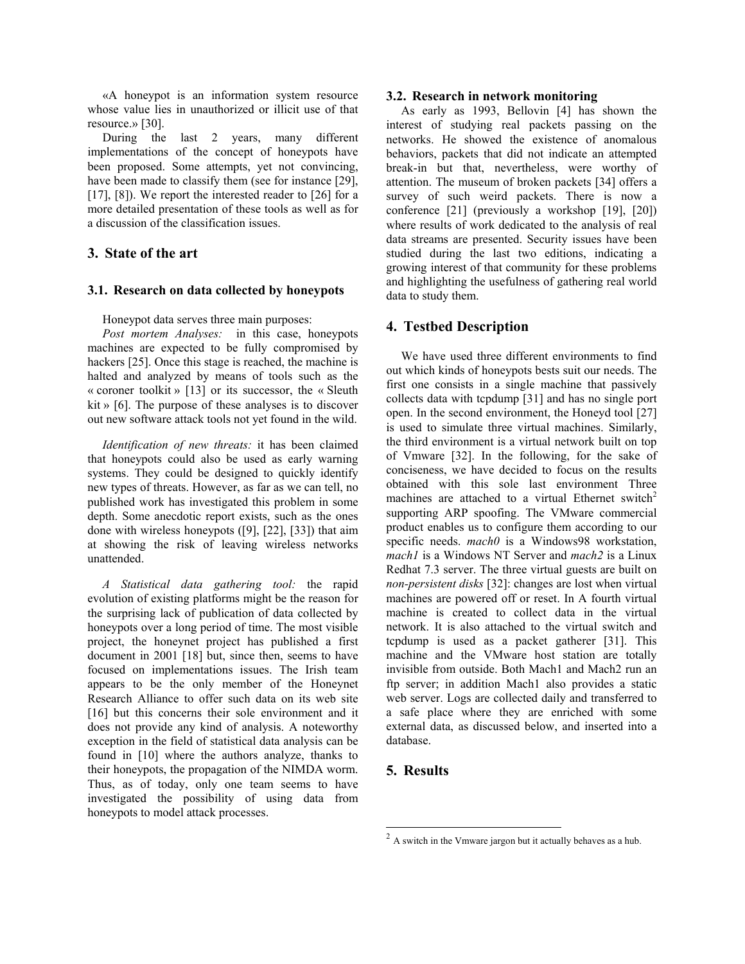«A honeypot is an information system resource whose value lies in unauthorized or illicit use of that resource.» [\[30\].](#page-5-1)

During the last 2 years, many different implementations of the concept of honeypots have been proposed. Some attempts, yet not convincing, have been made to classify them (see for instance [\[29\],](#page-5-4)  $[17]$ ,  $[8]$ ). We report the interested reader to  $[26]$  for a more detailed presentation of these tools as well as for a discussion of the classification issues.

## **3. State of the art**

#### **3.1 . Research on data collected by honeypots**

Honeypot data serves three main purposes:

« coroner toolkit » [\[13\]](#page-5-8) or its successor, the « Sleuth kit » [\[6\].](#page-4-4) The purpose of these analyses is to discover *Post mortem Analyses:* in this case, honeypots machines are expected to be fully compromised by hackers [\[25\].](#page-5-7) Once this stage is reached, the machine is halted and analyzed by means of tools such as the out new software attack tools not yet found in the wild.

depth. Some anecdotic report exists, such as the ones done with wireless honeypots  $(19]$ ,  $[22]$ ,  $[33]$ ) that aim at showing the risk of leaving wireless networks *Identification of new threats:* it has been claimed that honeypots could also be used as early warning systems. They could be designed to quickly identify new types of threats. However, as far as we can tell, no published work has investigated this problem in some unattended.

their honeypots, the propagation of the NIMDA worm. Thus, as of today, only one team seems to have inv estigated the possibility of using data from *A Statistical data gathering tool:* the rapid evolution of existing platforms might be the reason for the surprising lack of publication of data collected by honeypots over a long period of time. The most visible project, the honeynet project has published a first document in 2001 [\[18\]](#page-5-11) but, since then, seems to have focused on implementations issues. The Irish team appears to be the only member of the Honeynet Research Alliance to offer such data on its web site [16] but this concerns their sole environment and it does not provide any kind of analysis. A noteworthy exception in the field of statistical data analysis can be found in [\[10\]](#page-5-13) where the authors analyze, thanks to honeypots to model attack processes.

#### **3.2. Research in network monitoring**

where results of work dedicated to the analysis of real data streams are presented. Security issues have been studied during the last two editions, indicating a growing interest of that community for these problems an d highlighting the usefulness of gathering real world As early as 1993, Bellovin [\[4\]](#page-4-6) has shown the interest of studying real packets passing on the networks. He showed the existence of anomalous behaviors, packets that did not indicate an attempted break-in but that, nevertheless, were worthy of attention. The museum of broken packets [\[34\]](#page-5-14) offers a survey of such weird packets. There is now a conference [\[21\]](#page-5-15) (previously a workshop [\[19\],](#page-5-16) [\[20\]\)](#page-5-17) data to study them.

#### **4. Testbed Description**

invisible from outside. Both Mach1 and Mach2 run an ftp server; in addition Mach1 also provides a static web server. Logs are collected daily and transferred to a safe place where they are enriched with some external data, as discussed below, and inserted into a database. We have used three different environments to find out which kinds of honeypots bests suit our needs. The first one consists in a single machine that passively collects data with tcpdump [\[31\]](#page-5-18) and has no single port open. In the second environment, the Honeyd tool [\[27\]](#page-5-19)  is used to simulate three virtual machines. Similarly, the third environment is a virtual network built on top of Vmware [\[32\].](#page-5-20) In the following, for the sake of conciseness, we have decided to focus on the results obtained with this sole last environment Three machines are attached to a virtual Ethernet switch<sup>[2](#page-1-0)</sup> supporting ARP spoofing. The VMware commercial product enables us to configure them according to our specific needs. *mach0* is a Windows98 workstation, *mach1* is a Windows NT Server and *mach2* is a Linux Redhat 7.3 server. The three virtual guests are built on *non-persistent disks* [\[32\]:](#page-5-20) changes are lost when virtual machines are powered off or reset. In A fourth virtual machine is created to collect data in the virtual network. It is also attached to the virtual switch and tcpdump is used as a packet gatherer [\[31\].](#page-5-18) This machine and the VMware host station are totally

### **5. Results**

1

<span id="page-1-0"></span> $2A$  switch in the Vmware jargon but it actually behaves as a hub.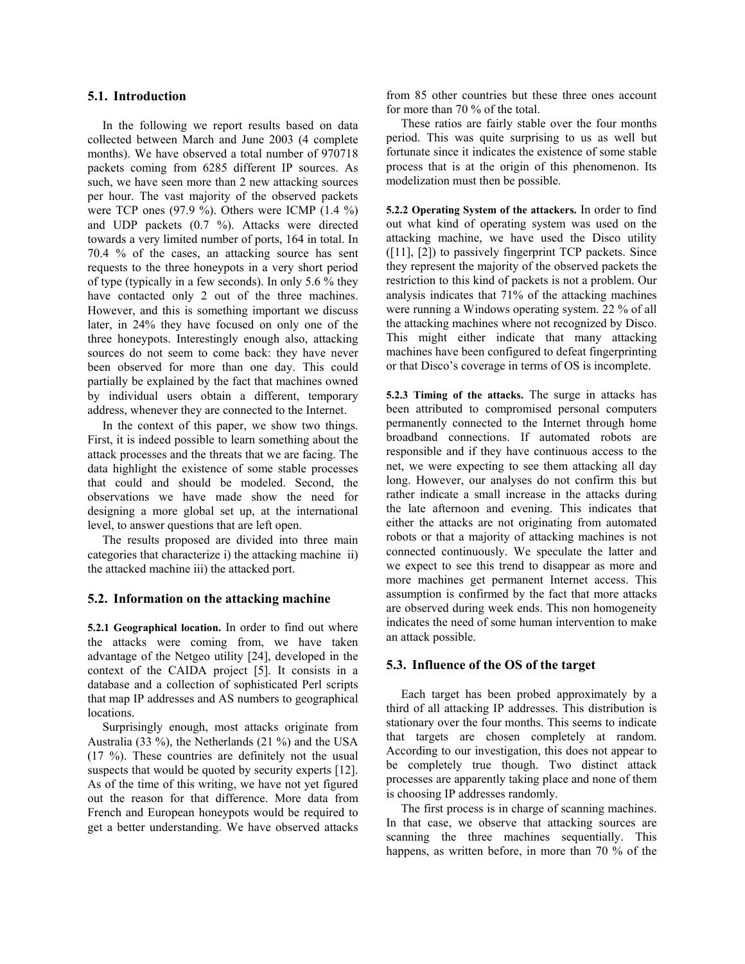#### **5.1. Introduction**

In the following we report results based on data collected between March and June 2003 (4 complete months). We have observed a total number of 970718 packets coming from 6285 different IP sources. As such, we have seen more than 2 new attacking sources per hour. The vast majority of the observed packets were TCP ones (97.9 %). Others were ICMP (1.4 %) and UDP packets (0.7 %). Attacks were directed towards a very limited number of ports, 164 in total. In 70.4 % of the cases, an attacking source has sent requests to the three honeypots in a very short period of type (typically in a few seconds). In only 5.6 % they have contacted only 2 out of the three machines. However, and this is something important we discuss lat er, in 24% they have focused on only one of the three honeypots. Interestingly enough also, attacking sources do not seem to come back: they have never been observed for more than one day. This could partially be explained by the fact that machines owned by individual users obtain a different, temporary address, whenever they are connected to the Internet.

In the context of this paper, we show two things. Fir st, it is indeed possible to learn something about the data highlight the existence of some stable processes that could and should be modeled. Second, the observations we have made show the need for designing a more global set up, at the international attack processes and the threats that we are facing. The level, to answer questions that are left open.

The results proposed are divided into three main categories that characterize i) the attacking machine ii) the attacked machine iii) the attacked port.

#### **5.2. Information on the attacking machine**

**5.2 .1 Geographical location.** In order to find out where the attacks were coming from, we have taken advantage of the Netgeo utility [\[24\],](#page-5-21) developed in the context of the CAIDA project [\[5\].](#page-4-7) It consists in a database and a collection of sophisticated Perl scripts that map IP addresses and AS numbers to geographical locations.

 $(17 \%)$ . These countries are definitely not the usual sus pects that would be quoted by security experts [\[12\].](#page-5-22) get a better understanding. We have observed attacks Surprisingly enough, most attacks originate from Australia (33 %), the Netherlands (21 %) and the USA As of the time of this writing, we have not yet figured out the reason for that difference. More data from French and European honeypots would be required to

from 85 other countries but these three ones account for more than 70 % of the total.

These ratios are fairly stable over the four months period. This was quite surprising to us as well but fortunate since it indicates the existence of some stable process that is at the origin of this phenomenon. Its modelization must then be possible.

they represent the majority of the observed packets the **5.2.2 Operating System of the attackers.** In order to find out what kind of operating system was used on the attacking machine, we have used the Disco utility  $([11], [2])$  $([11], [2])$  to passively fingerprint TCP packets. Since restriction to this kind of packets is not a problem. Our analysis indicates that 71% of the attacking machines were running a Windows operating system. 22 % of all the attacking machines where not recognized by Disco. This might either indicate that many attacking machines have been configured to defeat fingerprinting or that Disco's coverage in terms of OS is incomplete.

either the attacks are not originating from automated robots or that a majority of attacking machines is not connected continuously. We speculate the latter and we expect to see this trend to disappear as more and mo re machines get permanent Internet access. This **5.2.3 Timing of the attacks.** The surge in attacks has been attributed to compromised personal computers permanently connected to the Internet through home broadband connections. If automated robots are responsible and if they have continuous access to the net, we were expecting to see them attacking all day long. However, our analyses do not confirm this but rather indicate a small increase in the attacks during the late afternoon and evening. This indicates that assumption is confirmed by the fact that more attacks are observed during week ends. This non homogeneity indicates the need of some human intervention to make an attack possible.

#### **5.3. Influence of the OS of the target**

Each target has been probed approximately by a third of all attacking IP addresses. This distribution is stationary over the four months. This seems to indicate that targets are chosen completely at random. According to our investigation, this does not appear to be completely true though. Two distinct attack processes are apparently taking place and none of them is choosing IP addresses randomly.

The first process is in charge of scanning machines. In that case, we observe that attacking sources are scanning the three machines sequentially. This happens, as written before, in more than 70 % of the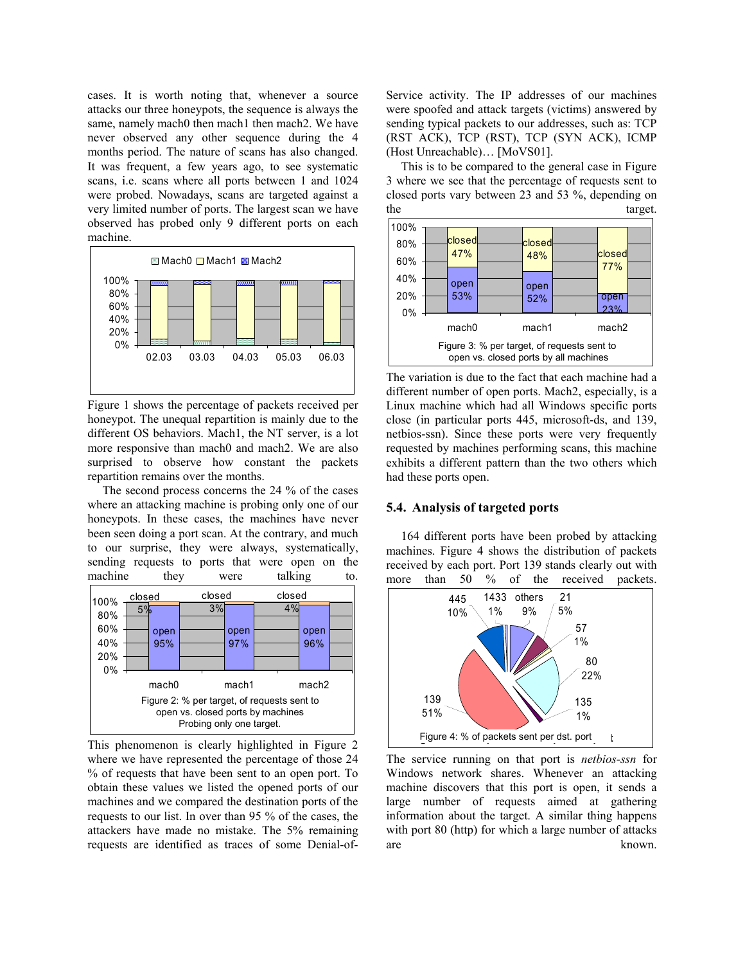cases. It is worth noting that, whenever a source attacks our three honeypots, the sequence is always the same, namely mach0 then mach1 then mach2. We have never observed any other sequence during the 4 months period. The nature of scans has also changed. It was frequent, a few years ago, to see systematic scans, i.e. scans where all ports between 1 and 1024 were probed. Nowadays, scans are targeted against a very limited number of ports. The largest scan we have observed has probed only 9 different ports on each machine.



Figure 1 shows the percentage of packets received per honeypot. The unequal repartition is mainly due to the different OS behaviors. Mach1, the NT server, is a lot more responsive than mach0 and mach2. We are also surprised to observe how constant the packets repartition remains over the months.

The second process concerns the 24 % of the cases where an attacking machine is probing only one of our honeypots. In these cases, the machines have never been seen doing a port scan. At the contrary, and much to our surprise, they were always, systematically, sending requests to ports that were open on the machine they were talking to.



This phenomenon is clearly highlighted in Figure 2 where we have represented the percentage of those 24 % of requests that have been sent to an open port. To obtain these values we listed the opened ports of our machines and we compared the destination ports of the req uests to our list. In over than 95 % of the cases, the attackers have made no mistake. The 5% remaining requests are identified as traces of some Denial-of-

Service activity. The IP addresses of our machines were spoofed and attack targets (victims) answered by sending typical packets to our addresses, such as: TCP (RST ACK), TCP (RST), TCP (SYN ACK), ICMP (Host Unreachable)… [MoVS01].

target. This is to be compared to the general case in Figure 3 where we see that the percentage of requests sent to closed ports vary between 23 and 53 %, depending on the target  $\frac{1}{2}$  target  $\frac{1}{2}$  target  $\frac{1}{2}$  target  $\frac{1}{2}$  target  $\frac{1}{2}$  target  $\frac{1}{2}$  target  $\frac{1}{2}$  target  $\frac{1}{2}$  target  $\frac{1}{2}$  target  $\frac{1}{2}$  target  $\frac{1}{2}$  target  $\frac{1}{2}$  target  $\frac{1}{2$ 



The variation is due to the fact that each machine had a different number of open ports. Mach2, especially, is a Linux machine which had all Windows specific ports clo se (in particular ports 445, microsoft-ds, and 139, netbios-ssn). Since these ports were very frequently requested by machines performing scans, this machine exhibits a different pattern than the two others which had these ports open.

#### **5.4. Analysis of targeted ports**

164 different ports have been probed by attacking machines. Figure 4 shows the distribution of packets received by each port. Port 139 stands clearly out with more than 50 % of the received packets.



The service running on that port is *netbios-ssn* for Windows network shares. Whenever an attacking machine discovers that this port is open, it sends a large number of requests aimed at gathering information about the target. A similar thing happens with port 80 (http) for which a large number of attacks are known.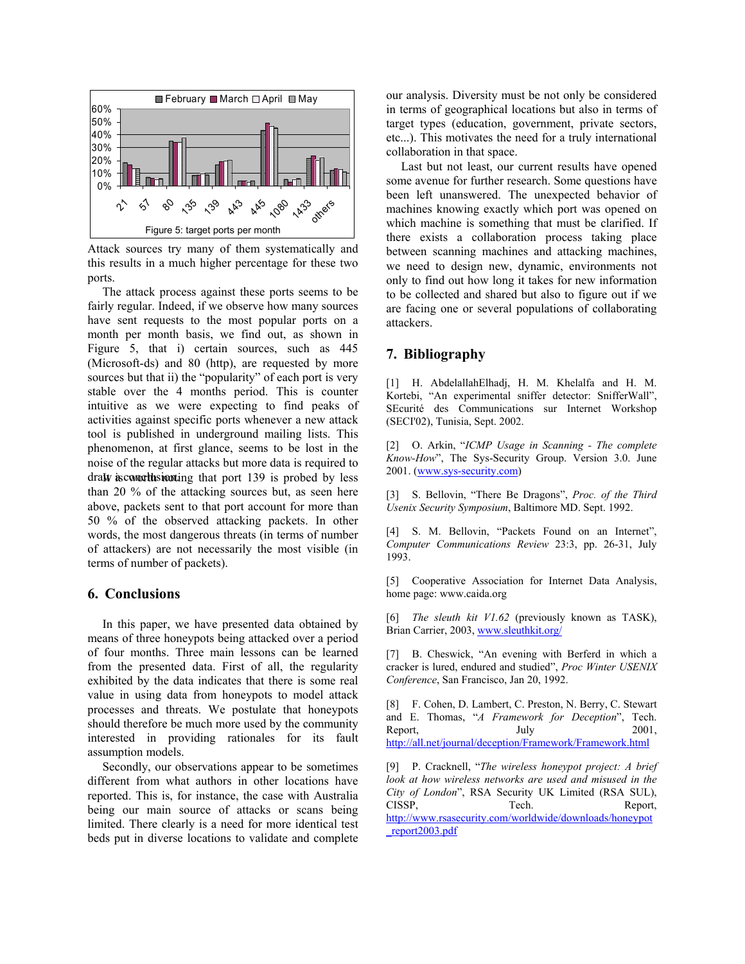

Attack sources try many of them systematically and this results in a much higher percentage for these two ports.

draw is concellusivating that port 139 is probed by less tha n 20 % of the attacking sources but, as seen here The attack process against these ports seems to be fairly regular. Indeed, if we observe how many sources have sent requests to the most popular ports on a month per month basis, we find out, as shown in Figure 5, that i) certain sources, such as 445 (Microsoft-ds) and 80 (http), are requested by more sources but that ii) the "popularity" of each port is very stable over the 4 months period. This is counter intuitive as we were expecting to find peaks of activities against specific ports whenever a new attack tool is published in underground mailing lists. This phenomenon, at first glance, seems to be lost in the noise of the regular attacks but more data is required to above, packets sent to that port account for more than 50 % of the observed attacking packets. In other words, the most dangerous threats (in terms of number of attackers) are not necessarily the most visible (in terms of number of packets).

### **. Conclusions 6**

In this paper, we have presented data obtained by me ans of three honeypots being attacked over a period of four months. Three main lessons can be learned from the presented data. First of all, the regularity exhibited by the data indicates that there is some real value in using data from honeypots to model attack processes and threats. We postulate that honeypots should therefore be much more used by the community interested in providing rationales for its fault assumption models.

Secondly, our observations appear to be sometimes dif ferent from what authors in other locations have reported. This is, for instance, the case with Australia being our main source of attacks or scans being limited. There clearly is a need for more identical test beds put in diverse locations to validate and complete

our analysis. Diversity must be not only be considered in terms of geographical locations but also in terms of target types (education, government, private sectors, etc...). This motivates the need for a truly international collaboration in that space.

Last but not least, our current results have opened some avenue for further research. Some questions have been left unanswered. The unexpected behavior of machines knowing exactly which port was opened on which machine is something that must be clarified. If there exists a collaboration process taking place between scanning machines and attacking machines, we need to design new, dynamic, environments not only to find out how long it takes for new information to be collected and shared but also to figure out if we are facing one or several populations of collaborating attackers.

## **7. Bibliography**

<span id="page-4-2"></span>[1] H. AbdelallahElhadj, H. M. Khelalfa and H. M. Kortebi, "An experimental sniffer detector: SnifferWall", SEcurité des Communications sur Internet Workshop (SECI'02), Tunisia, Sept. 2002.

<span id="page-4-8"></span>[2] O. Arkin, "*ICMP Usage in Scanning - The complete Know-How*", The Sys-Security Group. Version 3.0. June 2001. [\(www.sys-security.com\)](http://www.sys-security.com/)

<span id="page-4-1"></span>[3] S. Bellovin, "There Be Dragons", *Proc. of the Third Usenix Security Symposium*, Baltimore MD. Sept. 1992.

<span id="page-4-6"></span>[4] S. M. Bellovin, "Packets Found on an Internet", *Computer Communications Review* 23:3, pp. 26-31, July 1993.

<span id="page-4-7"></span>[5] Cooperative Association for Internet Data Analysis, home page: www.caida.org

<span id="page-4-4"></span>[6] *The sleuth kit V1.62* (previously known as TASK), Brian Carrier, 2003, www.sleuthkit.org/

<span id="page-4-0"></span>[7] B. Cheswick, "An evening with Berferd in which a cracker is lured, endured and studied", *Proc Winter USENIX Conference*, San Francisco, Jan 20, 1992.

<span id="page-4-3"></span>[8] F. Cohen, D. Lambert, C. Preston, N. Berry, C. Stewart and E. Thomas, "*A Framework for Deception*", Tech. Report, July 2001, <http://all.net/journal/deception/Framework/Framework.html>

<span id="page-4-5"></span>[9] P. Cracknell, "*The wireless honeypot project: A brief look at how wireless networks are used and misused in the City of London*", RSA Security UK Limited (RSA SUL), CISSP, Tech. Report, [http://www.rsasecurity.com/worldwide/downloads/honeypot](http://www.rsasecurity.com/worldwide/downloads/honeypot_report2003.pdf) [\\_report2003.pdf](http://www.rsasecurity.com/worldwide/downloads/honeypot_report2003.pdf)